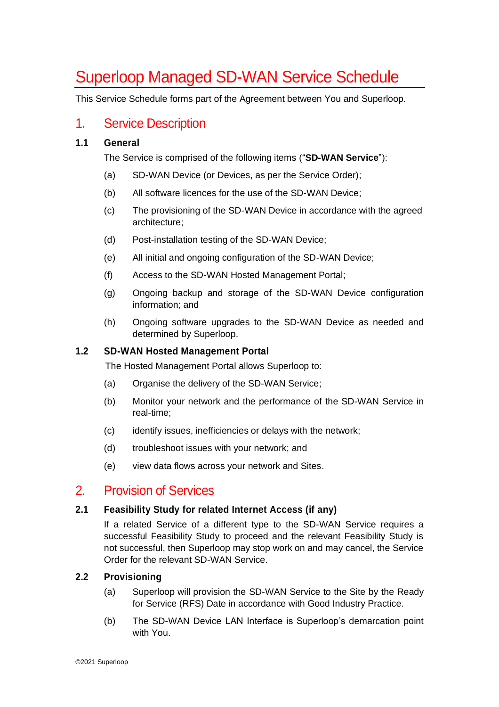# Superloop Managed SD-WAN Service Schedule

This Service Schedule forms part of the Agreement between You and Superloop.

# 1. Service Description

### **1.1 General**

The Service is comprised of the following items ("**SD-WAN Service**"):

- (a) SD-WAN Device (or Devices, as per the Service Order);
- (b) All software licences for the use of the SD-WAN Device;
- (c) The provisioning of the SD-WAN Device in accordance with the agreed architecture;
- (d) Post-installation testing of the SD-WAN Device;
- (e) All initial and ongoing configuration of the SD-WAN Device;
- (f) Access to the SD-WAN Hosted Management Portal;
- (g) Ongoing backup and storage of the SD-WAN Device configuration information; and
- (h) Ongoing software upgrades to the SD-WAN Device as needed and determined by Superloop.

#### **1.2 SD-WAN Hosted Management Portal**

The Hosted Management Portal allows Superloop to:

- (a) Organise the delivery of the SD-WAN Service;
- (b) Monitor your network and the performance of the SD-WAN Service in real-time;
- (c) identify issues, inefficiencies or delays with the network;
- (d) troubleshoot issues with your network; and
- (e) view data flows across your network and Sites.

# 2. Provision of Services

### **2.1 Feasibility Study for related Internet Access (if any)**

If a related Service of a different type to the SD-WAN Service requires a successful Feasibility Study to proceed and the relevant Feasibility Study is not successful, then Superloop may stop work on and may cancel, the Service Order for the relevant SD-WAN Service.

### **2.2 Provisioning**

- (a) Superloop will provision the SD-WAN Service to the Site by the Ready for Service (RFS) Date in accordance with Good Industry Practice.
- (b) The SD-WAN Device LAN Interface is Superloop's demarcation point with You.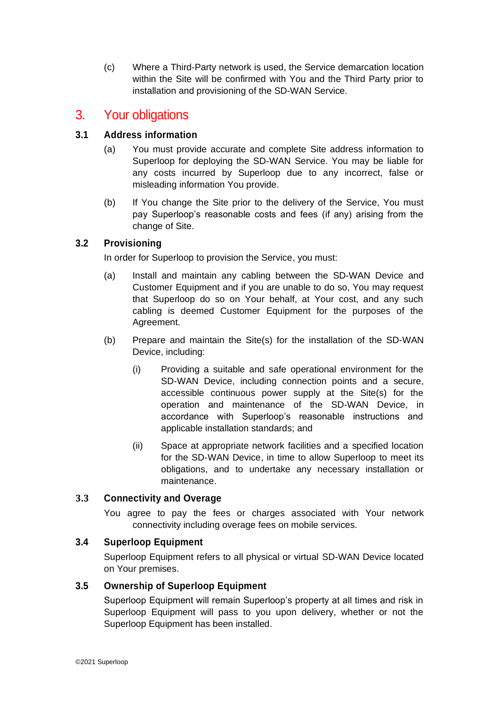(c) Where a Third-Party network is used, the Service demarcation location within the Site will be confirmed with You and the Third Party prior to installation and provisioning of the SD-WAN Service.

# 3. Your obligations

## **3.1 Address information**

- (a) You must provide accurate and complete Site address information to Superloop for deploying the SD-WAN Service. You may be liable for any costs incurred by Superloop due to any incorrect, false or misleading information You provide.
- (b) If You change the Site prior to the delivery of the Service, You must pay Superloop's reasonable costs and fees (if any) arising from the change of Site.

## **3.2 Provisioning**

In order for Superloop to provision the Service, you must:

- (a) Install and maintain any cabling between the SD-WAN Device and Customer Equipment and if you are unable to do so, You may request that Superloop do so on Your behalf, at Your cost, and any such cabling is deemed Customer Equipment for the purposes of the Agreement.
- (b) Prepare and maintain the Site(s) for the installation of the SD-WAN Device, including:
	- (i) Providing a suitable and safe operational environment for the SD-WAN Device, including connection points and a secure, accessible continuous power supply at the Site(s) for the operation and maintenance of the SD-WAN Device, in accordance with Superloop's reasonable instructions and applicable installation standards; and
	- (ii) Space at appropriate network facilities and a specified location for the SD-WAN Device, in time to allow Superloop to meet its obligations, and to undertake any necessary installation or maintenance.

### **3.3 Connectivity and Overage**

You agree to pay the fees or charges associated with Your network connectivity including overage fees on mobile services.

### **3.4 Superloop Equipment**

Superloop Equipment refers to all physical or virtual SD-WAN Device located on Your premises.

### **3.5 Ownership of Superloop Equipment**

Superloop Equipment will remain Superloop's property at all times and risk in Superloop Equipment will pass to you upon delivery, whether or not the Superloop Equipment has been installed.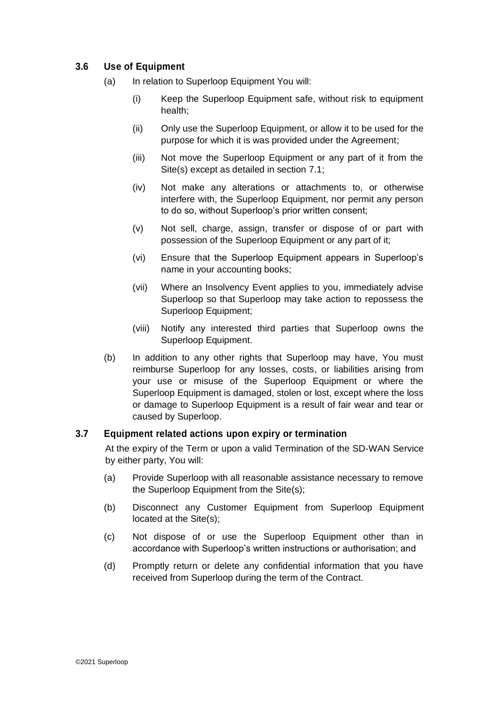## **3.6 Use of Equipment**

- (a) In relation to Superloop Equipment You will:
	- (i) Keep the Superloop Equipment safe, without risk to equipment health;
	- (ii) Only use the Superloop Equipment, or allow it to be used for the purpose for which it is was provided under the Agreement;
	- (iii) Not move the Superloop Equipment or any part of it from the Site(s) except as detailed in section 7.1;
	- (iv) Not make any alterations or attachments to, or otherwise interfere with, the Superloop Equipment, nor permit any person to do so, without Superloop's prior written consent;
	- (v) Not sell, charge, assign, transfer or dispose of or part with possession of the Superloop Equipment or any part of it;
	- (vi) Ensure that the Superloop Equipment appears in Superloop's name in your accounting books;
	- (vii) Where an Insolvency Event applies to you, immediately advise Superloop so that Superloop may take action to repossess the Superloop Equipment;
	- (viii) Notify any interested third parties that Superloop owns the Superloop Equipment.
- (b) In addition to any other rights that Superloop may have, You must reimburse Superloop for any losses, costs, or liabilities arising from your use or misuse of the Superloop Equipment or where the Superloop Equipment is damaged, stolen or lost, except where the loss or damage to Superloop Equipment is a result of fair wear and tear or caused by Superloop.

### **3.7 Equipment related actions upon expiry or termination**

At the expiry of the Term or upon a valid Termination of the SD-WAN Service by either party, You will:

- (a) Provide Superloop with all reasonable assistance necessary to remove the Superloop Equipment from the Site(s);
- (b) Disconnect any Customer Equipment from Superloop Equipment located at the Site(s);
- (c) Not dispose of or use the Superloop Equipment other than in accordance with Superloop's written instructions or authorisation; and
- (d) Promptly return or delete any confidential information that you have received from Superloop during the term of the Contract.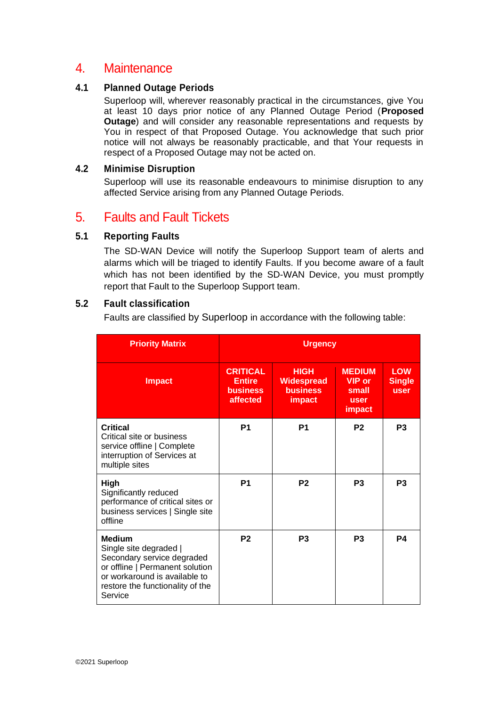# 4. Maintenance

#### **4.1 Planned Outage Periods**

Superloop will, wherever reasonably practical in the circumstances, give You at least 10 days prior notice of any Planned Outage Period (**Proposed Outage**) and will consider any reasonable representations and requests by You in respect of that Proposed Outage. You acknowledge that such prior notice will not always be reasonably practicable, and that Your requests in respect of a Proposed Outage may not be acted on.

#### **4.2 Minimise Disruption**

Superloop will use its reasonable endeavours to minimise disruption to any affected Service arising from any Planned Outage Periods.

# 5. Faults and Fault Tickets

## **5.1 Reporting Faults**

The SD-WAN Device will notify the Superloop Support team of alerts and alarms which will be triaged to identify Faults. If you become aware of a fault which has not been identified by the SD-WAN Device, you must promptly report that Fault to the Superloop Support team.

### **5.2 Fault classification**

Faults are classified by Superloop in accordance with the following table:

| <b>Priority Matrix</b>                                                                                                                                                                   | <b>Urgency</b>                                                  |                                                                      |                                                                         |                                            |
|------------------------------------------------------------------------------------------------------------------------------------------------------------------------------------------|-----------------------------------------------------------------|----------------------------------------------------------------------|-------------------------------------------------------------------------|--------------------------------------------|
| <b>Impact</b>                                                                                                                                                                            | <b>CRITICAL</b><br><b>Entire</b><br><b>business</b><br>affected | <b>HIGH</b><br><b>Widespread</b><br><b>business</b><br><b>impact</b> | <b>MEDIUM</b><br><b>VIP</b> or<br>small<br><b>user</b><br><i>impact</i> | <b>LOW</b><br><b>Single</b><br><b>user</b> |
| <b>Critical</b><br>Critical site or business<br>service offline   Complete<br>interruption of Services at<br>multiple sites                                                              | P <sub>1</sub>                                                  | P <sub>1</sub>                                                       | P <sub>2</sub>                                                          | P <sub>3</sub>                             |
| High<br>Significantly reduced<br>performance of critical sites or<br>business services   Single site<br>offline                                                                          | P <sub>1</sub>                                                  | P <sub>2</sub>                                                       | P <sub>3</sub>                                                          | P <sub>3</sub>                             |
| <b>Medium</b><br>Single site degraded  <br>Secondary service degraded<br>or offline   Permanent solution<br>or workaround is available to<br>restore the functionality of the<br>Service | P <sub>2</sub>                                                  | P <sub>3</sub>                                                       | P <sub>3</sub>                                                          | P4                                         |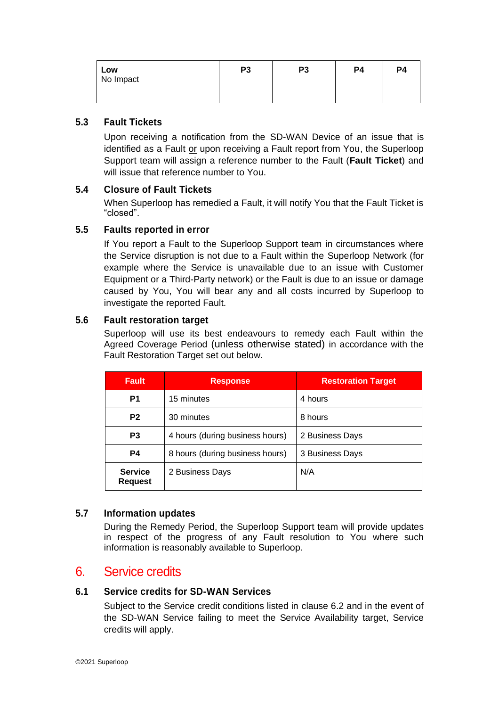| Low       | P <sub>3</sub> | P3 | P4 | P <sub>4</sub> |
|-----------|----------------|----|----|----------------|
| No Impact |                |    |    |                |
|           |                |    |    |                |

### **5.3 Fault Tickets**

Upon receiving a notification from the SD-WAN Device of an issue that is identified as a Fault or upon receiving a Fault report from You, the Superloop Support team will assign a reference number to the Fault (**Fault Ticket**) and will issue that reference number to You.

## **5.4 Closure of Fault Tickets**

When Superloop has remedied a Fault, it will notify You that the Fault Ticket is "closed".

#### **5.5 Faults reported in error**

If You report a Fault to the Superloop Support team in circumstances where the Service disruption is not due to a Fault within the Superloop Network (for example where the Service is unavailable due to an issue with Customer Equipment or a Third-Party network) or the Fault is due to an issue or damage caused by You, You will bear any and all costs incurred by Superloop to investigate the reported Fault.

#### **5.6 Fault restoration target**

Superloop will use its best endeavours to remedy each Fault within the Agreed Coverage Period (unless otherwise stated) in accordance with the Fault Restoration Target set out below.

| <b>Fault</b>                                        | <b>Response</b>                 | <b>Restoration Target</b> |  |
|-----------------------------------------------------|---------------------------------|---------------------------|--|
| P1                                                  | 15 minutes                      | 4 hours                   |  |
| P <sub>2</sub>                                      | 30 minutes                      | 8 hours                   |  |
| P <sub>3</sub>                                      | 4 hours (during business hours) | 2 Business Days           |  |
| P <sub>4</sub>                                      | 8 hours (during business hours) | 3 Business Days           |  |
| <b>Service</b><br>2 Business Days<br><b>Request</b> |                                 | N/A                       |  |

## **5.7 Information updates**

During the Remedy Period, the Superloop Support team will provide updates in respect of the progress of any Fault resolution to You where such information is reasonably available to Superloop.

# 6. Service credits

#### **6.1 Service credits for SD-WAN Services**

Subject to the Service credit conditions listed in clause 6.2 and in the event of the SD-WAN Service failing to meet the Service Availability target, Service credits will apply.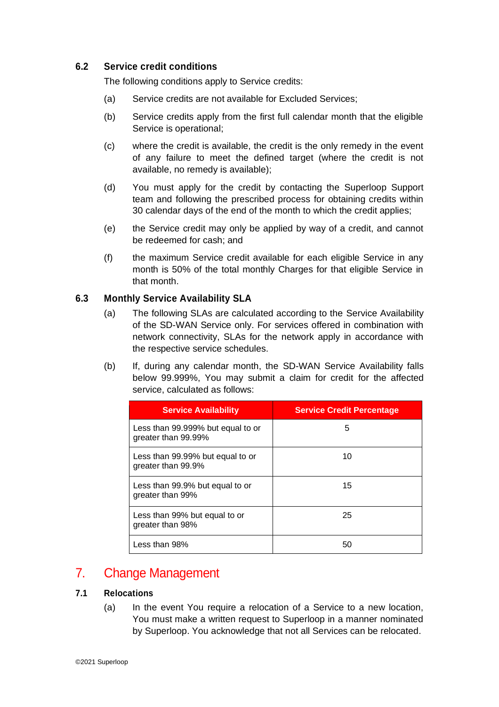### **6.2 Service credit conditions**

The following conditions apply to Service credits:

- (a) Service credits are not available for Excluded Services;
- (b) Service credits apply from the first full calendar month that the eligible Service is operational;
- (c) where the credit is available, the credit is the only remedy in the event of any failure to meet the defined target (where the credit is not available, no remedy is available);
- (d) You must apply for the credit by contacting the Superloop Support team and following the prescribed process for obtaining credits within 30 calendar days of the end of the month to which the credit applies;
- (e) the Service credit may only be applied by way of a credit, and cannot be redeemed for cash; and
- (f) the maximum Service credit available for each eligible Service in any month is 50% of the total monthly Charges for that eligible Service in that month.

### **6.3 Monthly Service Availability SLA**

- (a) The following SLAs are calculated according to the Service Availability of the SD-WAN Service only. For services offered in combination with network connectivity, SLAs for the network apply in accordance with the respective service schedules.
- (b) If, during any calendar month, the SD-WAN Service Availability falls below 99.999%, You may submit a claim for credit for the affected service, calculated as follows:

| <b>Service Availability</b>                              | <b>Service Credit Percentage</b> |
|----------------------------------------------------------|----------------------------------|
| Less than 99.999% but equal to or<br>greater than 99.99% | 5                                |
| Less than 99.99% but equal to or<br>greater than 99.9%   | 10                               |
| Less than 99.9% but equal to or<br>greater than 99%      | 15                               |
| Less than 99% but equal to or<br>greater than 98%        | 25                               |
| Less than 98%                                            |                                  |

# 7. Change Management

### **7.1 Relocations**

(a) In the event You require a relocation of a Service to a new location, You must make a written request to Superloop in a manner nominated by Superloop. You acknowledge that not all Services can be relocated.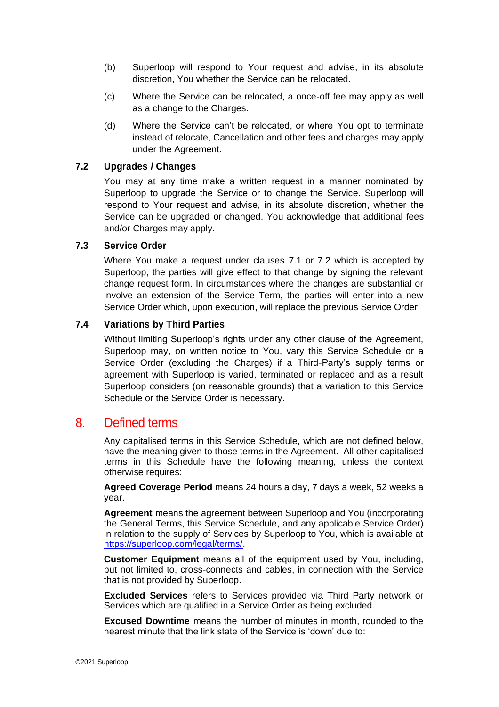- (b) Superloop will respond to Your request and advise, in its absolute discretion, You whether the Service can be relocated.
- (c) Where the Service can be relocated, a once-off fee may apply as well as a change to the Charges.
- (d) Where the Service can't be relocated, or where You opt to terminate instead of relocate, Cancellation and other fees and charges may apply under the Agreement.

#### **7.2 Upgrades / Changes**

You may at any time make a written request in a manner nominated by Superloop to upgrade the Service or to change the Service. Superloop will respond to Your request and advise, in its absolute discretion, whether the Service can be upgraded or changed. You acknowledge that additional fees and/or Charges may apply.

#### **7.3 Service Order**

Where You make a request under clauses 7.1 or 7.2 which is accepted by Superloop, the parties will give effect to that change by signing the relevant change request form. In circumstances where the changes are substantial or involve an extension of the Service Term, the parties will enter into a new Service Order which, upon execution, will replace the previous Service Order.

#### **7.4 Variations by Third Parties**

Without limiting Superloop's rights under any other clause of the Agreement, Superloop may, on written notice to You, vary this Service Schedule or a Service Order (excluding the Charges) if a Third-Party's supply terms or agreement with Superloop is varied, terminated or replaced and as a result Superloop considers (on reasonable grounds) that a variation to this Service Schedule or the Service Order is necessary.

## 8. Defined terms

Any capitalised terms in this Service Schedule, which are not defined below, have the meaning given to those terms in the Agreement. All other capitalised terms in this Schedule have the following meaning, unless the context otherwise requires:

**Agreed Coverage Period** means 24 hours a day, 7 days a week, 52 weeks a year.

**Agreement** means the agreement between Superloop and You (incorporating the General Terms, this Service Schedule, and any applicable Service Order) in relation to the supply of Services by Superloop to You, which is available at [https://superloop.com/legal/terms/.](https://superloop.com/legal/terms/)

**Customer Equipment** means all of the equipment used by You, including, but not limited to, cross-connects and cables, in connection with the Service that is not provided by Superloop.

**Excluded Services** refers to Services provided via Third Party network or Services which are qualified in a Service Order as being excluded.

**Excused Downtime** means the number of minutes in month, rounded to the nearest minute that the link state of the Service is 'down' due to: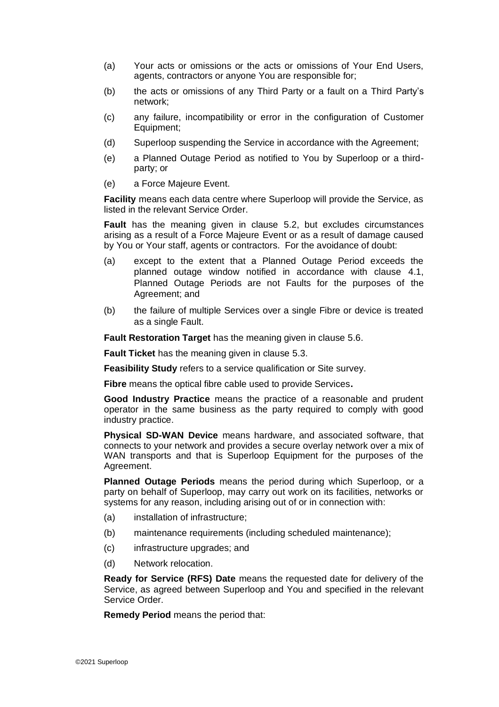- (a) Your acts or omissions or the acts or omissions of Your End Users, agents, contractors or anyone You are responsible for;
- (b) the acts or omissions of any Third Party or a fault on a Third Party's network;
- (c) any failure, incompatibility or error in the configuration of Customer Equipment;
- (d) Superloop suspending the Service in accordance with the Agreement;
- (e) a Planned Outage Period as notified to You by Superloop or a thirdparty; or
- (e) a Force Majeure Event.

**Facility** means each data centre where Superloop will provide the Service, as listed in the relevant Service Order.

**Fault** has the meaning given in clause 5.2, but excludes circumstances arising as a result of a Force Majeure Event or as a result of damage caused by You or Your staff, agents or contractors. For the avoidance of doubt:

- (a) except to the extent that a Planned Outage Period exceeds the planned outage window notified in accordance with clause 4.1, Planned Outage Periods are not Faults for the purposes of the Agreement; and
- (b) the failure of multiple Services over a single Fibre or device is treated as a single Fault.

**Fault Restoration Target** has the meaning given in clause 5.6.

**Fault Ticket** has the meaning given in clause 5.3.

**Feasibility Study** refers to a service qualification or Site survey.

**Fibre** means the optical fibre cable used to provide Services**.**

**Good Industry Practice** means the practice of a reasonable and prudent operator in the same business as the party required to comply with good industry practice.

**Physical SD-WAN Device** means hardware, and associated software, that connects to your network and provides a secure overlay network over a mix of WAN transports and that is Superloop Equipment for the purposes of the Agreement.

**Planned Outage Periods** means the period during which Superloop, or a party on behalf of Superloop, may carry out work on its facilities, networks or systems for any reason, including arising out of or in connection with:

- (a) installation of infrastructure;
- (b) maintenance requirements (including scheduled maintenance);
- (c) infrastructure upgrades; and
- (d) Network relocation.

**Ready for Service (RFS) Date** means the requested date for delivery of the Service, as agreed between Superloop and You and specified in the relevant Service Order.

**Remedy Period** means the period that: